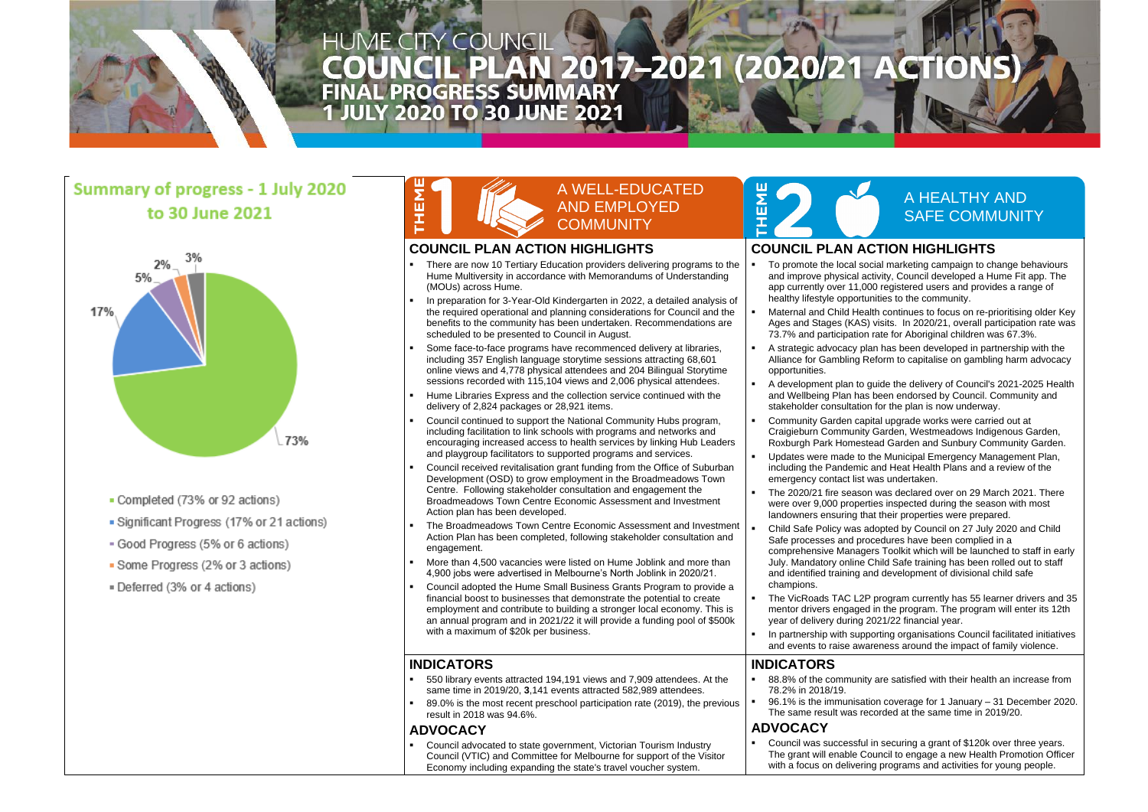

# **HUME CITY COUNCIL** HUME CITY COUNCIL<br>COUNCIL PLAN 2017-2021 (2020/21 ACTIO<br>FINAL PROGRESS SUMMARY<br>1 JULY 2020 TO 30 JUNE 2021

### **Summary of progress - 1 July 2020** to 30 June 2021



- Completed (73% or 92 actions)
- Significant Progress (17% or 21 actions)
- Good Progress (5% or 6 actions)
- Some Progress (2% or 3 actions)
- Deferred (3% or 4 actions)

#### A WELL-EDUCATED AND EMPLOYED **COMMUNITY**

#### A HEALTHY AND SAFE COMMUNITY

#### **COUNCIL PLAN ACTION HIGHLIGHTS**

- **EXED** There are now 10 Tertiary Education providers delivering programs to the Hume Multiversity in accordance with Memorandums of Understanding (MOUs) across Hume.
- In preparation for 3-Year-Old Kindergarten in 2022, a detailed analysis of the required operational and planning considerations for Council and the benefits to the community has been undertaken. Recommendations are scheduled to be presented to Council in August.
- Some face-to-face programs have recommenced delivery at libraries, including 357 English language storytime sessions attracting 68,601 online views and 4,778 physical attendees and 204 Bilingual Storytime sessions recorded with 115,104 views and 2,006 physical attendees.
- Hume Libraries Express and the collection service continued with the delivery of 2,824 packages or 28,921 items.
- Council continued to support the National Community Hubs program, including facilitation to link schools with programs and networks and encouraging increased access to health services by linking Hub Leaders and playgroup facilitators to supported programs and services.
- Council received revitalisation grant funding from the Office of Suburban Development (OSD) to grow employment in the Broadmeadows Town Centre. Following stakeholder consultation and engagement the Broadmeadows Town Centre Economic Assessment and Investment Action plan has been developed.
- The Broadmeadows Town Centre Economic Assessment and Investment Action Plan has been completed, following stakeholder consultation and engagement.
- More than 4,500 vacancies were listed on Hume Joblink and more than 4,900 jobs were advertised in Melbourne's North Joblink in 2020/21.
- Council adopted the Hume Small Business Grants Program to provide a financial boost to businesses that demonstrate the potential to create employment and contribute to building a stronger local economy. This is an annual program and in 2021/22 it will provide a funding pool of \$500k with a maximum of \$20k per business.

To promote the local social marketing campaign to change behaviours and improve physical activity, Council developed a Hume Fit app. The app currently over 11,000 registered users and provides a range of healthy lifestyle opportunities to the community.

Maternal and Child Health continues to focus on re-prioritising older Key Ages and Stages (KAS) visits. In 2020/21, overall participation rate was 73.7% and participation rate for Aboriginal children was 67.3%.

A strategic advocacy plan has been developed in partnership with the Alliance for Gambling Reform to capitalise on gambling harm advocacy

A development plan to guide the delivery of Council's 2021-2025 Health and Wellbeing Plan has been endorsed by Council. Community and stakeholder consultation for the plan is now underway.

Community Garden capital upgrade works were carried out at Craigieburn Community Garden, Westmeadows Indigenous Garden, Roxburgh Park Homestead Garden and Sunbury Community Garden.

Updates were made to the Municipal Emergency Management Plan, including the Pandemic and Heat Health Plans and a review of the

The 2020/21 fire season was declared over on 29 March 2021. There were over 9,000 properties inspected during the season with most landowners ensuring that their properties were prepared.

Child Safe Policy was adopted by Council on 27 July 2020 and Child Safe processes and procedures have been complied in a

The VicRoads TAC L2P program currently has 55 learner drivers and 35 mentor drivers engaged in the program. The program will enter its 12th

In partnership with supporting organisations Council facilitated initiatives and events to raise awareness around the impact of family violence.

88.8% of the community are satisfied with their health an increase from

#### **COUNCIL PLAN ACTION HIGHLIGHTS**

- 550 library events attracted 194,191 views and 7,909 attendees. At the same time in 2019/20, **3**,141 events attracted 582,989 attendees.
- 89.0% is the most recent preschool participation rate (2019), the previous result in 2018 was 94.6%.

■ Council advocated to state government, Victorian Tourism Industry Council (VTIC) and Committee for Melbourne for support of the Visitor Economy including expanding the state's travel voucher system.



96.1% is the immunisation coverage for 1 January – 31 December 2020. The same result was recorded at the same time in 2019/20.

Council was successful in securing a grant of \$120k over three years. The grant will enable Council to engage a new Health Promotion Officer with a focus on delivering programs and activities for young people.

- 
- 
- opportunities.
- 
- 
- emergency contact list was undertaken.
- 
- champions.
- year of delivery during 2021/22 financial year.
- 

comprehensive Managers Toolkit which will be launched to staff in early July. Mandatory online Child Safe training has been rolled out to staff and identified training and development of divisional child safe

#### **INDICATORS**

#### **ADVOCACY**

#### **INDICATORS**

- 78.2% in 2018/19.
- 

#### **ADVOCACY**